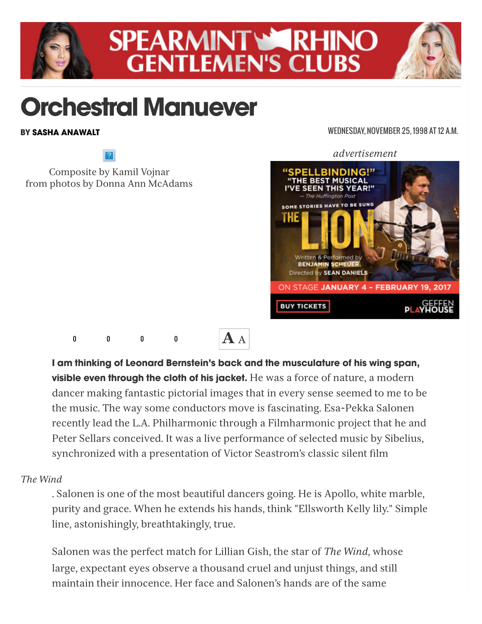

# **SPEARMINT WARHINO GENTLEMEN'S CLUBS**

# Orchestral Manuever

Composite by Kamil Vojnar from photos by Donna Ann McAdams

## BY [SASHA ANAWALT](http://www.laweekly.com/authors/sasha-anawalt-2126963)

### WEDNESDAY, NOVEMBER 25, 1998 AT 12 A.M.

*advertisement*



0 0 0 0



I am thinking of Leonard Bernstein's back and the musculature of his wing span, **visible even through the cloth of his jacket.** He was a force of nature, a modern dancer making fantastic pictorial images that in every sense seemed to me to be the music. The way some conductors move is fascinating. Esa-Pekka Salonen recently lead the L.A. Philharmonic through a Filmharmonic project that he and Peter Sellars conceived. It was a live performance of selected music by Sibelius, synchronized with a presentation of Victor Seastrom's classic silent film

## *The Wind*

. Salonen is one of the most beautiful dancers going. He is Apollo, white marble, purity and grace. When he extends his hands, think "Ellsworth Kelly lily." Simple line, astonishingly, breathtakingly, true.

Salonen was the perfect match for Lillian Gish, the star of *The Wind*, whose large, expectant eyes observe a thousand cruel and unjust things, and still maintain their innocence. Her face and Salonen's hands are of the same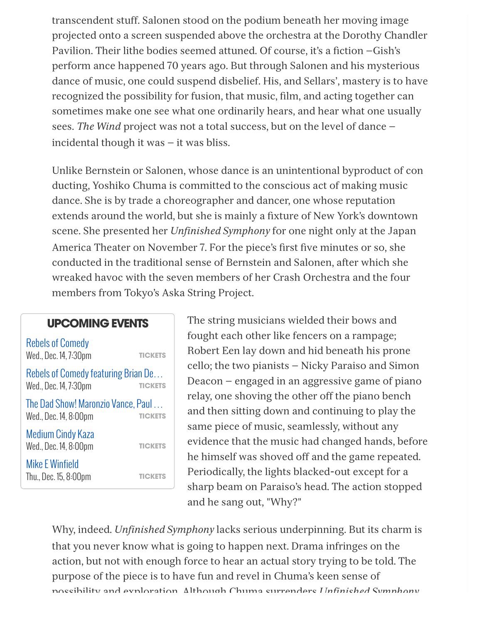transcendent stuff. Salonen stood on the podium beneath her moving image projected onto a screen suspended above the orchestra at the Dorothy Chandler Pavilion. Their lithe bodies seemed attuned. Of course, it's a fiction —Gish's perform ance happened 70 years ago. But through Salonen and his mysterious dance of music, one could suspend disbelief. His, and Sellars', mastery is to have recognized the possibility for fusion, that music, film, and acting together can sometimes make one see what one ordinarily hears, and hear what one usually sees. *The Wind* project was not a total success, but on the level of dance incidental though it was  $-$  it was bliss.

Unlike Bernstein or Salonen, whose dance is an unintentional byproduct of con ducting, Yoshiko Chuma is committed to the conscious act of making music dance. She is by trade a choreographer and dancer, one whose reputation extends around the world, but she is mainly a fixture of New York's downtown scene. She presented her *Unfinished Symphony* for one night only at the Japan America Theater on November 7. For the piece's first five minutes or so, she conducted in the traditional sense of Bernstein and Salonen, after which she wreaked havoc with the seven members of her Crash Orchestra and the four members from Tokyo's Aska String Project.

## UPCOMING EVENTS

**[TICKETS](http://ticketmaster.evyy.net/c/249534/271177/4272?u=http%3A%2F%2Fwww.ticketweb.com%2Ft3%2Fsale%2FSaleEventDetail%3Fdispatch%3DloadSelectionData%26amp%3BeventId%3D7029435%26amp%3BREFERRAL_ID%3Dtmfeed&SHAREDID=law_LRA)** [Rebels of Comedy](http://www.laweekly.com/event/rebels-of-comedy-7622370) Wed., Dec. 14, 7:30pm **[TICKETS](http://ticketmaster.evyy.net/c/249534/271177/4272?u=http%3A%2F%2Fwww.ticketweb.com%2Ft3%2Fsale%2FSaleEventDetail%3Fdispatch%3DloadSelectionData%26amp%3BeventId%3D7042665%26amp%3BREFERRAL_ID%3Dtmfeed&SHAREDID=law_LRA)** [Rebels of Comedy featuring Brian De](http://www.laweekly.com/event/rebels-of-comedy-featuring-brian-demoy-rev-mitcz-granison-crawford-7648800)… Wed., Dec. 14, 7:30pm **[TICKETS](http://ticketmaster.evyy.net/c/249534/271177/4272?u=http%3A%2F%2Fwww.ticketweb.com%2Ft3%2Fsale%2FSaleEventDetail%3Fdispatch%3DloadSelectionData%26amp%3BeventId%3D7063255%26amp%3BREFERRAL_ID%3Dtmfeed&SHAREDID=law_LRA)** [The Dad Show! Maronzio Vance, Paul](http://www.laweekly.com/event/the-dad-show-maronzio-vance-paul-danke-nick-cobb-rick-robles-and-mor-7679789) … Wed., Dec. 14, 8:00pm **[TICKETS](http://ticketmaster.evyy.net/c/249534/271177/4272?u=http%3A%2F%2Fwww.ticketweb.com%2Ft3%2Fsale%2FSaleEventDetail%3Fdispatch%3DloadSelectionData%26amp%3BeventId%3D6976595%26amp%3BREFERRAL_ID%3Dtmfeed&SHAREDID=law_LRA)** [Medium Cindy Kaza](http://www.laweekly.com/event/medium-cindy-kaza-7525707) Wed., Dec. 14, 8:00pm **[TICKETS](http://ticketmaster.evyy.net/c/249534/271177/4272?u=http%3A%2F%2Fwww.ticketweb.com%2Ft3%2Fsale%2FSaleEventDetail%3Fdispatch%3DloadSelectionData%26amp%3BeventId%3D6976665%26amp%3BREFERRAL_ID%3Dtmfeed&SHAREDID=law_LRA)** [Mike E Winfield](http://www.laweekly.com/event/mike-e-winfield-7525709) Thu., Dec. 15, 8:00pm

The string musicians wielded their bows and fought each other like fencers on a rampage; Robert Een lay down and hid beneath his prone cello; the two pianists — Nicky Paraiso and Simon Deacon — engaged in an aggressive game of piano relay, one shoving the other off the piano bench and then sitting down and continuing to play the same piece of music, seamlessly, without any evidence that the music had changed hands, before he himself was shoved off and the game repeated. Periodically, the lights blacked-out except for a sharp beam on Paraiso's head. The action stopped and he sang out, "Why?"

Why, indeed. *Unfinished Symphony* lacks serious underpinning. But its charm is that you never know what is going to happen next. Drama infringes on the action, but not with enough force to hear an actual story trying to be told. The purpose of the piece is to have fun and revel in Chuma's keen sense of possibility and exploration. Although Chuma surrenders *Unfinished Symphony*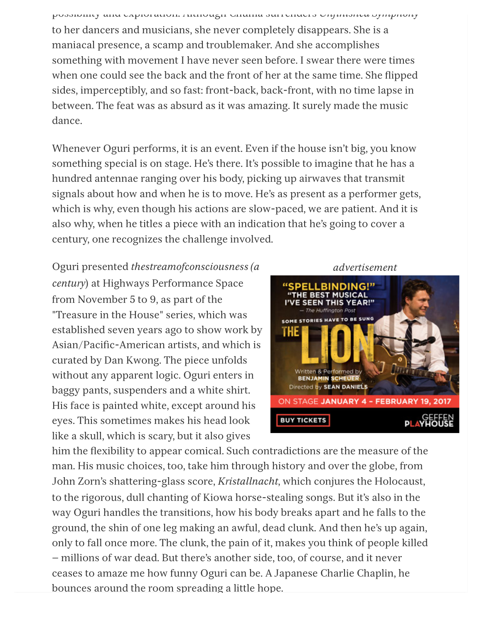possibility and exploration. Although Chuma surrenders *Unfinished Symphony* to her dancers and musicians, she never completely disappears. She is a maniacal presence, a scamp and troublemaker. And she accomplishes something with movement I have never seen before. I swear there were times when one could see the back and the front of her at the same time. She flipped sides, imperceptibly, and so fast: front-back, back-front, with no time lapse in between. The feat was as absurd as it was amazing. It surely made the music dance.

Whenever Oguri performs, it is an event. Even if the house isn't big, you know something special is on stage. He's there. It's possible to imagine that he has a hundred antennae ranging over his body, picking up airwaves that transmit signals about how and when he is to move. He's as present as a performer gets, which is why, even though his actions are slow-paced, we are patient. And it is also why, when he titles a piece with an indication that he's going to cover a century, one recognizes the challenge involved.

Oguri presented *thestreamofconsciousness (a century*) at Highways Performance Space from November 5 to 9, as part of the "Treasure in the House" series, which was established seven years ago to show work by Asian/Pacific-American artists, and which is curated by Dan Kwong. The piece unfolds without any apparent logic. Oguri enters in baggy pants, suspenders and a white shirt. His face is painted white, except around his eyes. This sometimes makes his head look like a skull, which is scary, but it also gives



him the flexibility to appear comical. Such contradictions are the measure of the man. His music choices, too, take him through history and over the globe, from John Zorn's shattering-glass score, *Kristallnacht*, which conjures the Holocaust, to the rigorous, dull chanting of Kiowa horse-stealing songs. But it's also in the way Oguri handles the transitions, how his body breaks apart and he falls to the ground, the shin of one leg making an awful, dead clunk. And then he's up again, only to fall once more. The clunk, the pain of it, makes you think of people killed — millions of war dead. But there's another side, too, of course, and it never ceases to amaze me how funny Oguri can be. A Japanese Charlie Chaplin, he bounces around the room spreading a little hope.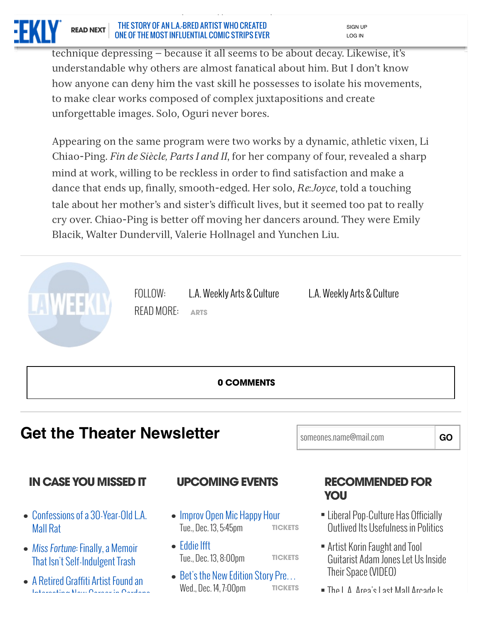

technique depressing — because it all seems to be about decay. Likewise, it's understandable why others are almost fanatical about him. But I don't know how anyone can deny him the vast skill he possesses to isolate his movements, to make clear works composed of complex juxtapositions and create unforgettable images. Solo, Oguri never bores.

Appearing on the same program were two works by a dynamic, athletic vixen, Li Chiao-Ping. *Fin de Siècle, Parts I and II*, for her company of four, revealed a sharp mind at work, willing to be reckless in order to find satisfaction and make a dance that ends up, finally, smooth-edged. Her solo, *Re:Joyce*, told a touching tale about her mother's and sister's difficult lives, but it seemed too pat to really cry over. Chiao-Ping is better off moving her dancers around. They were Emily Blacik, Walter Dundervill, Valerie Hollnagel and Yunchen Liu.



## **Get the Theater Newsletter Someones.name@mail.com GO**

## IN CASE YOU MISSED IT UPCOMING EVENTS RECOMMENDED FOR

- [Confessions of a 30-Year-Old L.A.](http://www.laweekly.com/arts/confessions-of-a-30-year-old-la-mall-rat-6673799) • Confess<br>Mall Rat
- *Miss Fortune*: Finally, a Memoir [That Isn't Self-Indulgent Trash](http://www.laweekly.com/arts/miss-fortune-finally-a-memoir-that-isnt-self-indulgent-trash-6670715) ·
- [A Retired Graffiti Artist Found an](http://www.laweekly.com/arts/a-retired-graffiti-artist-found-an-interesting-new-career-in-gardena-6676871) • A Retired Graffiti Artist Found an

- **[TICKETS](http://ticketmaster.evyy.net/c/249534/271177/4272?u=http%3A%2F%2Fwww.ticketweb.com%2Ft3%2Fsale%2FSaleEventDetail%3Fdispatch%3DloadSelectionData%26amp%3BeventId%3D7064455%26amp%3BREFERRAL_ID%3Dtmfeed&SHAREDID=law_AMA)** [Improv Open Mic Happy Hour](http://www.laweekly.com/event/improv-open-mic-happy-hour-7683360) • Improv Open Mic F<br>Tue., Dec. 13, 5:45pm
- **[TICKETS](http://ticketmaster.evyy.net/c/249534/271177/4272?u=http%3A%2F%2Fwww.ticketweb.com%2Ft3%2Fsale%2FSaleEventDetail%3Fdispatch%3DloadSelectionData%26amp%3BeventId%3D6976585%26amp%3BREFERRAL_ID%3Dtmfeed&SHAREDID=law_AMA)** [Eddie Ifft](http://www.laweekly.com/event/eddie-ifft-7525705) Tue., Dec. 13, 8:00pm ·
- **[TICKETS](http://ticketmaster.evyy.net/c/249534/271177/4272?u=http%3A%2F%2Fwww.ticketweb.com%2Ft3%2Fsale%2FSaleEventDetail%3Fdispatch%3DloadSelectionData%26amp%3BeventId%3D7025655%26amp%3BREFERRAL_ID%3Dtmfeed&SHAREDID=law_AMA)** [Bet's the New Edition Story Pre](http://www.laweekly.com/event/bets-the-new-edition-story-premiere-event-7621205)… ● Bet's the New Edition<br>Wed., Dec. 14, 7:00pm

# YOU

- Liberal Pop-Culture Has Officially Outlived Its Usefulness in Politics ·
- Artist Korin Faught and Tool Guitarist Adam Jones Let Us Inside Their Space (VIDEO)<br>■ The L.A. Area's Last Mall Arcade Is Their Space (VIDEO) ·
- ·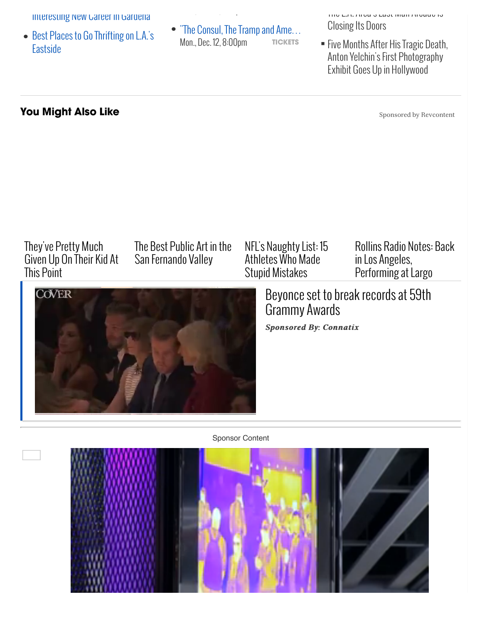Interesting New Gareer in Gardena

- [Best Places to Go Thrifting on L.A.'s](http://www.laweekly.com/arts/best-places-to-go-thrifting-on-las-eastside-6689627) • Best Pla<br>Eastside
- **[TICKETS](http://tracking.goldstar.com/aff_c?aff_id=2611&aff_sub4=the-consul,-the-tramp-and-americas-sweetheart&aff_sub=124149&offer_id=24&aff_sub5=LAW)** ["The Consul, The Tramp and Ame](http://tracking.goldstar.com/aff_c?aff_id=2611&aff_sub4=the-consul,-the-tramp-and-americas-sweetheart&aff_sub=124149&offer_id=24&aff_sub5=LAW)… Moreon Charles Brown Charlotter Consul, The Tramp and Ame...<br>Mon., Dec. 12, 8:00pm **· TICKETS** Five Months After His Tragic Death

Wed., Dec. 14, 7:00pm ·

Closing Its Doors

Five Months After His Tragic Death, Anton Yelchin's First Photography Exhibit Goes Up in Hollywood ·

Exhibit Goes Up in Hollywood

## You Might Also Like

Sponsored by Revcontent

## They've Pretty Much [Given Up On Their Kid At](http://trends.revcontent.com/click.php?d=itmkUjIvBTqxAal0yp4IbyYG8nw5DgjlLjd6rQEgPfne8rB6KvCHD9%2Fw%2FfFJ6JBovf3RuhWFQKQJBQmZ7r9Xti7dolILhOarwDcLFIU1Mw8JtMme7fqSzj%2FWpHlIneN1MkeM8NxMk6GAI%2FTRs4V12o4E2s%2BqdPDNJRAft52U7DJO5I4EP4eG3PBinn4gluYMr4mjpQTrPtdIsq0mYaLRT9kAV0Rp0RDUL8UFn3MOdq4smmofx%2BumvjgS04VQ8wif6xM5hE%2Bm3uek3M%2F99RQ154hB479glnYHhcEj%2FWzYw5Nruih2%2FKLLelHld2RoeEZB30V2hDesTCpYiKP6TnFqxbSAdJTOXAsxoPbrALG7LVkmCnQE%2BSEFkcyZEHotodL2di5kGYBQPkZ8YV1GEhzT%2FNcHJsFwlctPjpm4OunpeAdPMeJvKc7SDNj5qUl2%2BwXv4Z3U960y%2BfPAZ6PvV4X3VPDR7xLWeNjTbACksu%2BfIclETU73b1%2FGsQhUnqXzSmdU6TstlOnkgLp9qF5kA0ocaPqq7ns8Z35Ck6Fva3PuC1sVtex8Yh5wCvedIlDZHJapkepmtY1IPwB8sPbQc6RAo8OnaGnJ9IYQsUvoeXqZb7RpAFjrOYUUNjyNnfGu7I85oDhayJJzYMltm83Rk64pvJvb7m2ei7LSqk2hmI9KM07Q8fN3Lnv1Eo%2BTYvtAHnsL&viewed=true) This Point

[The Best Public Art in the](http://trends.revcontent.com/click.php?d=v01Yt9zmXKgpWzQ1udHetYXfSWVltN7ISMx%2FhXWqmRDZVDJ%2B1neGSrUGPHhq02usPTJLmTVAEgDLblQw2zmS%2F7RLjSMZ%2FalZf3eo%2F2RPE9ywGpR5w%2F8F77mGfcKI7AhM%2FuknQYhXonSJJoKwesq86Tffah0czeMTOo38zUlvayBULkR1GHo0Zuki3Crou0aaF3mzP6qYKCj0tp0BPkxzMFy5BFoDAQpwsnDMzRz5Rda%2FKkbveQ04feuFpuML7BbbP%2B%2BUqLjNNWEpfVblV0GVpLMTn%2Fjbe4PtIrZ0JzhsrBBr5GCjdUrwaXTZzBNCzhUCCOoQq5N%2FHWpqkLJCR85H5Cdj3f%2Fso8zUKM8ReOQ34yJWJh%2FRkIE0bXxecGF%2FCq9wdHTQW5LSBI4QS45l4sPUzr5qIng9qFhyDOhRCYao1OX7ppZ0m%2F2s%2Bw3FeM1%2Fb8RALVLlEweJwy%2FZRmcqnmS25fTPCVWwIH7LCorNmAoxJlrIT0tJrv8%2FSOdY5ExVy757GozGgB8%2BDxY9NuViuF6PvgvrNTavui8TM%2BmfCNCTPnU%3D&viewed=true) San Fernando Valley



## [NFL's Naughty List: 15](http://trends.revcontent.com/click.php?d=25%2FD%2FOi8cg8XINznGqE1GHBaHweA3fiUHnZD9NBPplxwKNhN7umdZwIBWz%2BZKtCwxAN4TdcoNpdN%2BwQlc86jxrs93CtUSw%2F0n7KXpgJs3jwwWfvCCidB5yJYXJ%2Fswxm6fccx7y3vhRLI9ky1GRW5O05QJMbU87AW%2BMbhTRaBHJmU72xJEEF6F%2BwpBUDd%2BZdgGIuSnfnWZ8YBhDA8lt%2B3XTM2WfZlHY1%2FreBL9l8dbzylOnmNirgjX1hcW0EquHCx6NKwCDYKPZ94lIJNu92pMVzXvQJUaOqwCZpSmIFV1ykZFSKbIKwBaZC5UnD7w1r%2FT1r1vJcO3imZTfya4c74nXPreZlBB8I1DXqlr1z3CGU8ObleGSWdTJChLOb3IOtypyQhQ8uJYGTdSpJ7NepKvqUhUVwZIOwMMqnrZ2cZBAh4tUVm70wvuNwf73KJg4RBkzWvwWymenRG7G3HN%2FYhqUxWw1vxC62wPhcm0aE7L5gHdQVF6CiGjwvXyhvYMTOQ6L4iFEdO4XDmmOBvMnKa5d9KAAr4NlUiWjJHuDzaJbobTEt9q%2F9G%2BwMcEnZQrcR6KH6PJoRfVOS%2Fj7UndsbRfvYbTxjq5UH21Wh3Azenb479vWn7TZcVxdQKRqwFgqQD&viewed=true) Athletes Who Made Stupid Mistakes

[Rollins Radio Notes: Back](http://trends.revcontent.com/click.php?d=wLhzip97yVEiEnQ6tMoRWWeqO8hn%2BlDGMXHBS2Vnwsz7pKTVh45grJyCJ%2B9%2BUdSlElT6YT4KzaCzhZot4qQd3aKD2NI0aIRdbYKej43hYLW3DYYupLrIgYujP8IIs6J%2FJXpwU87aS8%2FU63ckA%2FihHuqRrxS3Sz0pF93eBPbJfKYc9%2BTd6UC5dacHjmfp7Mt6wtRedI%2FX0Agwdvx4DBt%2FW%2F9im8IBNjUwQcczmR5IH0aukXJsOo%2F2kO%2FyguUUG%2FfEMCUHRI40%2FEtSvL0B2XMbvR7JGpVYVyqwazHn1VD%2FfSnJhszGhKB7qavZYM4Cg7eueo6OuHuQz9a3lXFetjuS6oCEid16HepOlmkq61bQu5rS6fyKTS2d7CSHlkFNAkIlbStHVjq3weXt8gvf46cezyibnmjHIARUKHFp2cIJiu%2BOZhTai4VLN7AGavx9TKYyLKsd%2BNz7Vq9PiXHPvGYY7nXTCGv9xnWzNJL%2FoIL8jO5KOif4wOL0YO%2Ba1FDs1xaf%2B3fmriz5EAzl6hHRyoavMBxjC9twkc9I254Ps8wC%2FpIMDtvEVE2sXyV4Uyr5LJvrb4tYO5MeaHuKYYnE91Zreg%3D%3D&viewed=true) in Los Angeles, Performing at Largo

[Beyonce set to break records at 59th](http://www.laweekly.com/arts/orchestral-manuever-2130106) Grammy Awards

*Sponsored By: Connatix Sponsored By: Connatix*

Sponsor Content